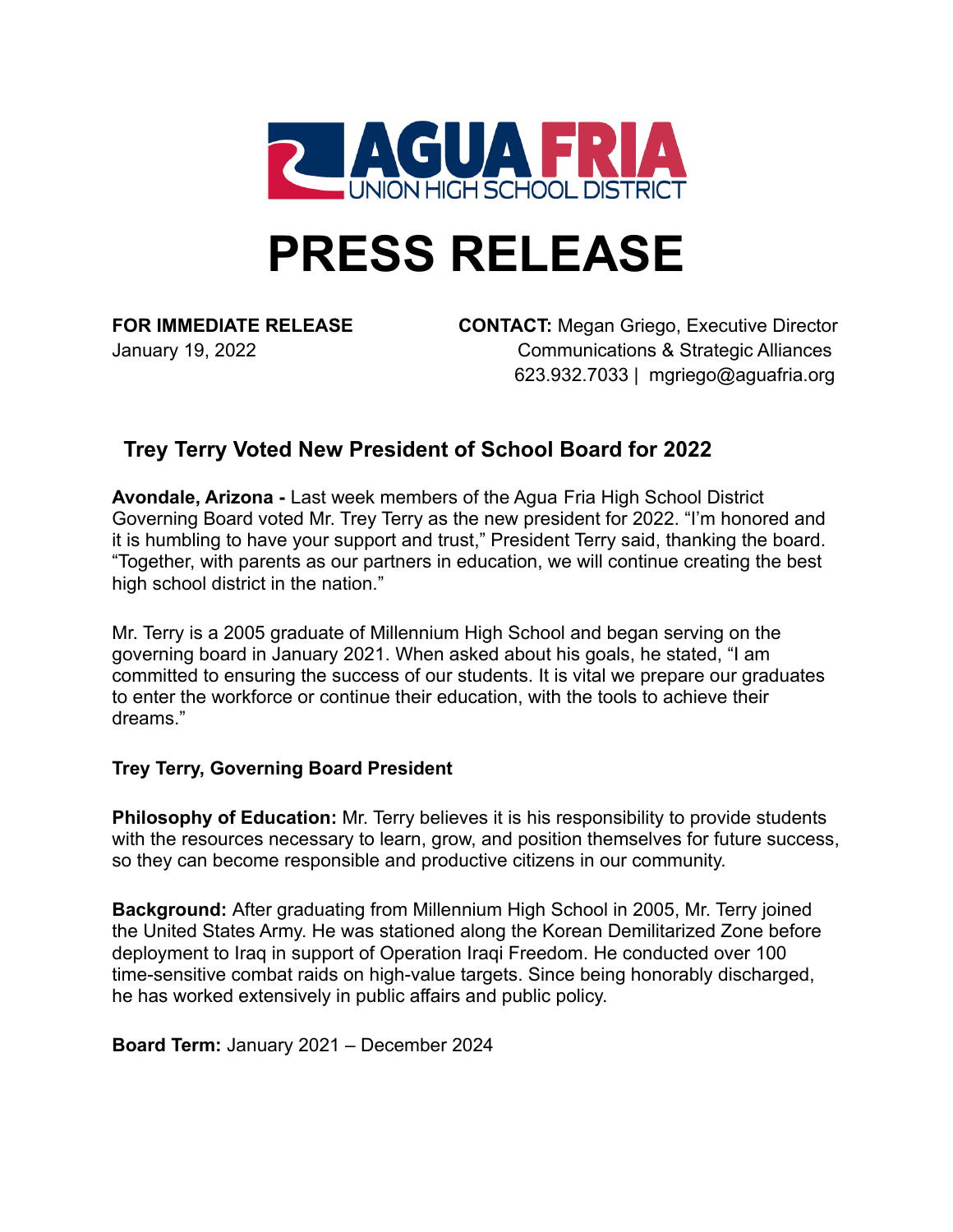

# **PRESS RELEASE**

**FOR IMMEDIATE RELEASE CONTACT:** Megan Griego, Executive Director January 19, 2022 Communications & Strategic Alliances 623.932.7033 | mgriego@aguafria.org

# **Trey Terry Voted New President of School Board for 2022**

**Avondale, Arizona -** Last week members of the Agua Fria High School District Governing Board voted Mr. Trey Terry as the new president for 2022. "I'm honored and it is humbling to have your support and trust," President Terry said, thanking the board. "Together, with parents as our partners in education, we will continue creating the best high school district in the nation."

Mr. Terry is a 2005 graduate of Millennium High School and began serving on the governing board in January 2021. When asked about his goals, he stated, "I am committed to ensuring the success of our students. It is vital we prepare our graduates to enter the workforce or continue their education, with the tools to achieve their dreams."

## **Trey Terry, Governing Board President**

**Philosophy of Education:** Mr. Terry believes it is his responsibility to provide students with the resources necessary to learn, grow, and position themselves for future success, so they can become responsible and productive citizens in our community.

**Background:** After graduating from Millennium High School in 2005, Mr. Terry joined the United States Army. He was stationed along the Korean Demilitarized Zone before deployment to Iraq in support of Operation Iraqi Freedom. He conducted over 100 time-sensitive combat raids on high-value targets. Since being honorably discharged, he has worked extensively in public affairs and public policy.

**Board Term:** January 2021 – December 2024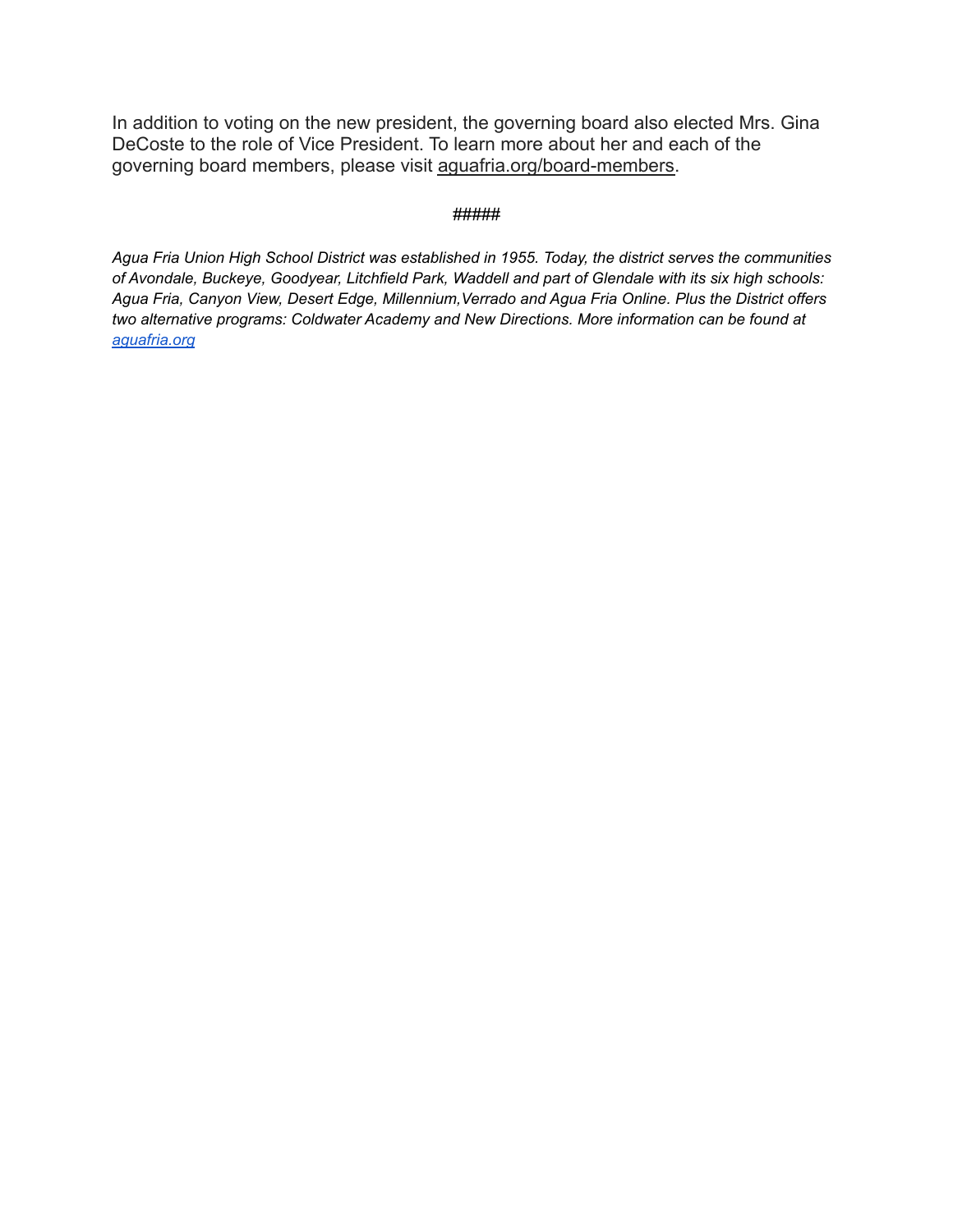In addition to voting on the new president, the governing board also elected Mrs. Gina DeCoste to the role of Vice President. To learn more about her and each of the governing board members, please visit [aguafria.org/board-members.](http://aguafria.org/board-members)

#### *#####*

*Agua Fria Union High School District was established in 1955. Today, the district serves the communities of Avondale, Buckeye, Goodyear, Litchfield Park, Waddell and part of Glendale with its six high schools: Agua Fria, Canyon View, Desert Edge, Millennium,Verrado and Agua Fria Online. Plus the District offers two alternative programs: Coldwater Academy and New Directions. More information can be found at [aguafria.org](http://aguafria.org)*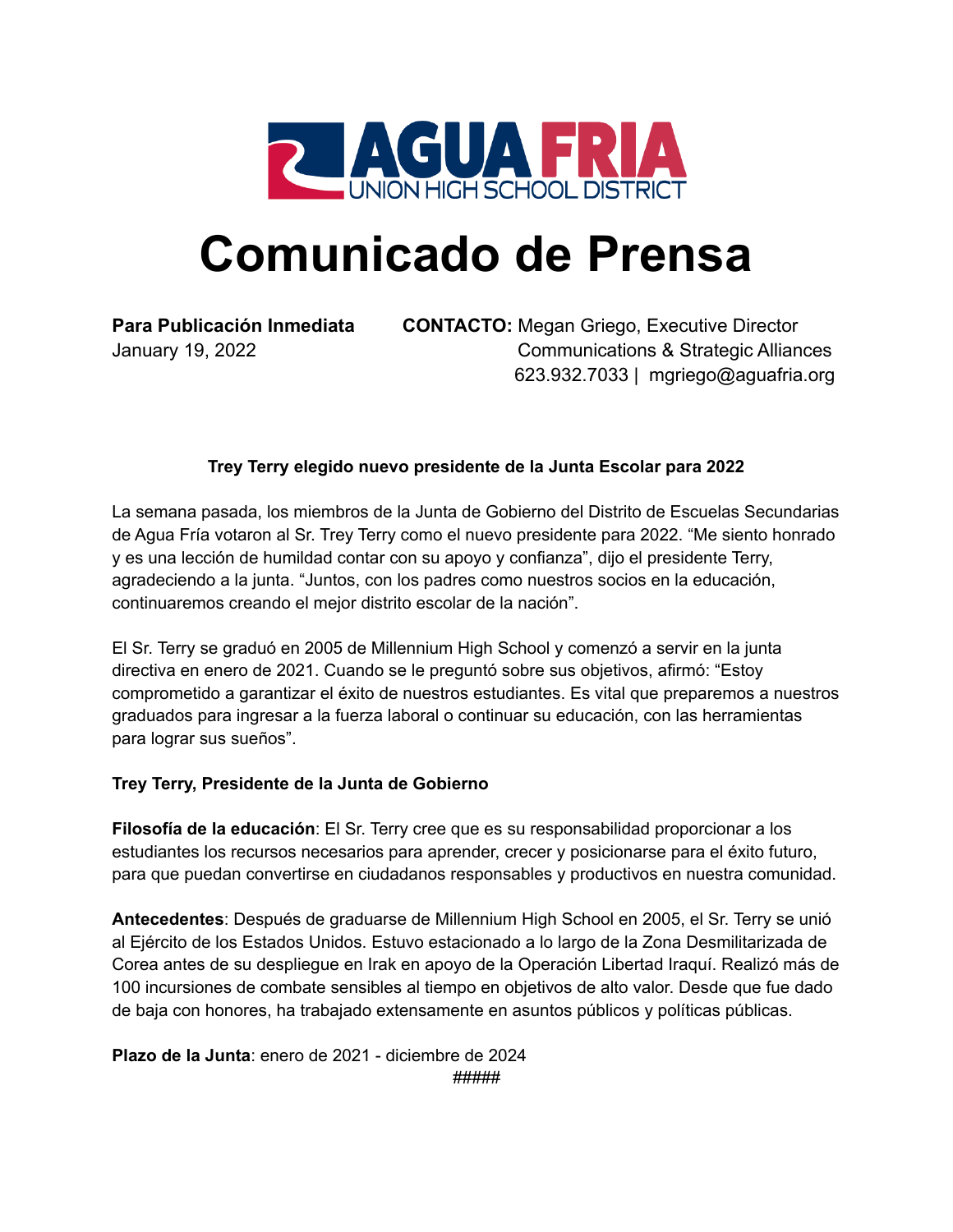

# **Comunicado de Prensa**

**Para Publicación Inmediata CONTACTO:** Megan Griego, Executive Director January 19, 2022 Communications & Strategic Alliances 623.932.7033 | mgriego@aguafria.org

### **Trey Terry elegido nuevo presidente de la Junta Escolar para 2022**

La semana pasada, los miembros de la Junta de Gobierno del Distrito de Escuelas Secundarias de Agua Fría votaron al Sr. Trey Terry como el nuevo presidente para 2022. "Me siento honrado y es una lección de humildad contar con su apoyo y confianza", dijo el presidente Terry, agradeciendo a la junta. "Juntos, con los padres como nuestros socios en la educación, continuaremos creando el mejor distrito escolar de la nación".

El Sr. Terry se graduó en 2005 de Millennium High School y comenzó a servir en la junta directiva en enero de 2021. Cuando se le preguntó sobre sus objetivos, afirmó: "Estoy comprometido a garantizar el éxito de nuestros estudiantes. Es vital que preparemos a nuestros graduados para ingresar a la fuerza laboral o continuar su educación, con las herramientas para lograr sus sueños".

### **Trey Terry, Presidente de la Junta de Gobierno**

**Filosofía de la educación**: El Sr. Terry cree que es su responsabilidad proporcionar a los estudiantes los recursos necesarios para aprender, crecer y posicionarse para el éxito futuro, para que puedan convertirse en ciudadanos responsables y productivos en nuestra comunidad.

**Antecedentes**: Después de graduarse de Millennium High School en 2005, el Sr. Terry se unió al Ejército de los Estados Unidos. Estuvo estacionado a lo largo de la Zona Desmilitarizada de Corea antes de su despliegue en Irak en apoyo de la Operación Libertad Iraquí. Realizó más de 100 incursiones de combate sensibles al tiempo en objetivos de alto valor. Desde que fue dado de baja con honores, ha trabajado extensamente en asuntos públicos y políticas públicas.

**Plazo de la Junta**: enero de 2021 - diciembre de 2024 *#####*